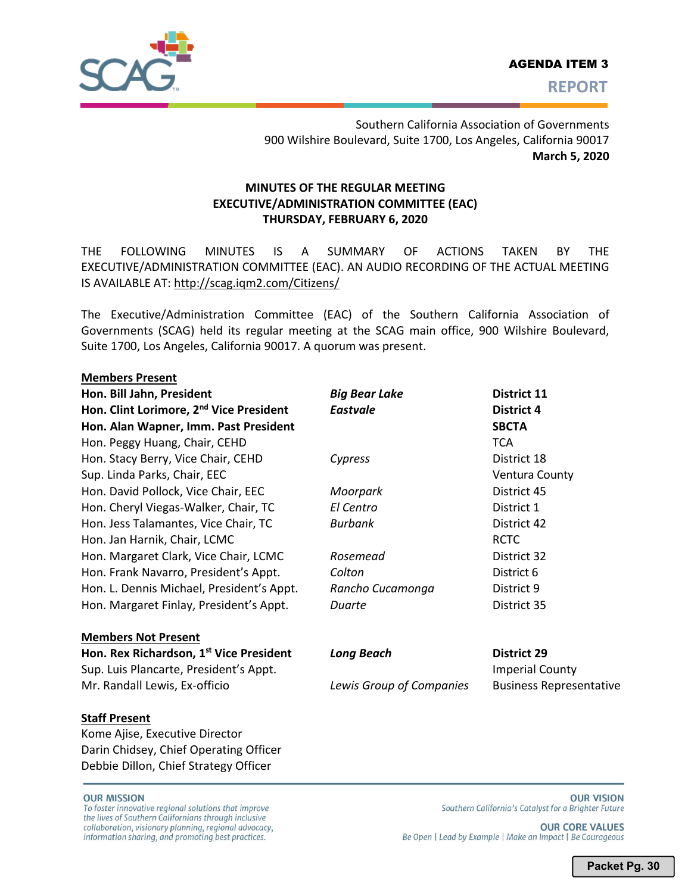

Southern California Association of Governments 900 Wilshire Boulevard, Suite 1700, Los Angeles, California 90017 **March 5, 2020** 

# **MINUTES OF THE REGULAR MEETING EXECUTIVE/ADMINISTRATION COMMITTEE (EAC) THURSDAY, FEBRUARY 6, 2020**

THE FOLLOWING MINUTES IS A SUMMARY OF ACTIONS TAKEN BY THE EXECUTIVE/ADMINISTRATION COMMITTEE (EAC). AN AUDIO RECORDING OF THE ACTUAL MEETING IS AVAILABLE AT: http://scag.iqm2.com/Citizens/

The Executive/Administration Committee (EAC) of the Southern California Association of Governments (SCAG) held its regular meeting at the SCAG main office, 900 Wilshire Boulevard, Suite 1700, Los Angeles, California 90017. A quorum was present.

## **Members Present**

**Hon. Bill Jahn, President** *Big Bear Lake* **District 11 Hon. Clint Lorimore, 2<sup>nd</sup> Vice President Hon. Alan Wapner, Imm. Past President** Hon. Peggy Huang, Chair, CEHD Hon. Stacy Berry, Vice Chair, CEHD Sup. Linda Parks, Chair, EEC Hon. David Pollock, Vice Chair, EEC Hon. Cheryl Viegas-Walker, Chair, TC Hon. Jess Talamantes, Vice Chair, TC Hon. Jan Harnik, Chair, LCMC Hon. Margaret Clark, Vice Chair, LCMC Hon. Frank Navarro, President's Appt. Hon. L. Dennis Michael, President's Appt. Hon. Margaret Finlay, President's Appt.

# **Members Not Present Hon. Rex Richardson, 1st Vice President** Sup. Luis Plancarte, President's Appt. Imperial County and Imperial County Mr. Randall Lewis, Ex-officio *Lewis Group of Companies* Business Representative

#### **Staff Present**

Kome Ajise, Executive Director Darin Chidsey, Chief Operating Officer Debbie Dillon, Chief Strategy Officer

#### **OUR MISSION**

To foster innovative regional solutions that improve the lives of Southern Californians through inclusive collaboration, visionary planning, regional advocacy, information sharing, and promoting best practices.

| <i>DIY D</i> CUI LUNC | PBULL 1               |
|-----------------------|-----------------------|
| Eastvale              | District 4            |
|                       | <b>SBCTA</b>          |
|                       | <b>TCA</b>            |
| Cypress               | District 18           |
|                       | <b>Ventura County</b> |
| Moorpark              | District 45           |
| El Centro             | District 1            |
| Burbank               | District 42           |
|                       | <b>RCTC</b>           |
| Rosemead              | District 32           |
| Colton                | District 6            |
| Rancho Cucamonga      | District 9            |
| Duarte                | District 35           |
|                       |                       |
|                       |                       |
| Long Beach            | <b>District 29</b>    |

**OUR CORE VALUES** Be Open | Lead by Example | Make an Impact | Be Courageous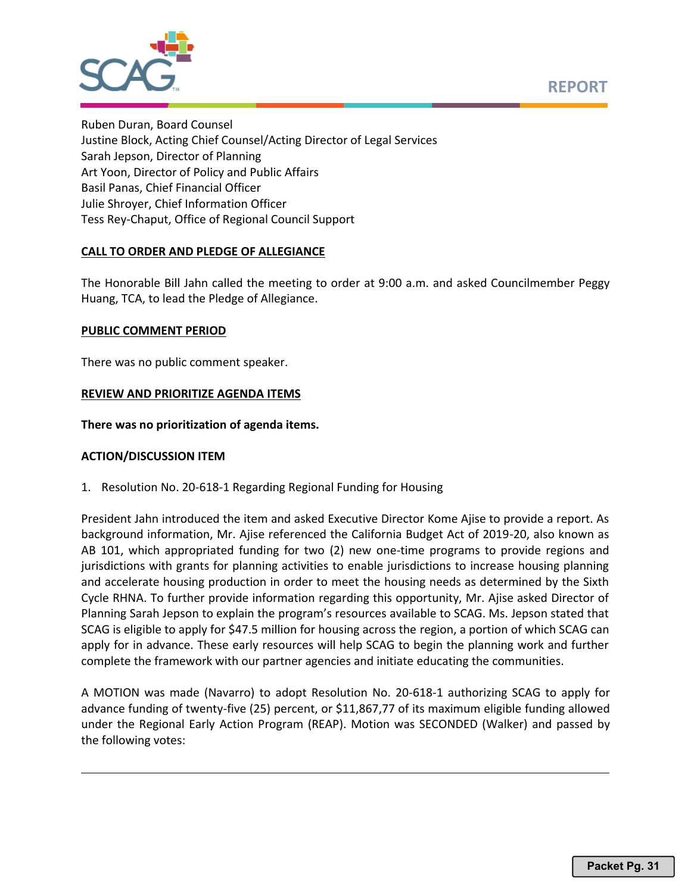



Ruben Duran, Board Counsel Justine Block, Acting Chief Counsel/Acting Director of Legal Services Sarah Jepson, Director of Planning Art Yoon, Director of Policy and Public Affairs Basil Panas, Chief Financial Officer Julie Shroyer, Chief Information Officer Tess Rey-Chaput, Office of Regional Council Support

# **CALL TO ORDER AND PLEDGE OF ALLEGIANCE**

The Honorable Bill Jahn called the meeting to order at 9:00 a.m. and asked Councilmember Peggy Huang, TCA, to lead the Pledge of Allegiance.

## **PUBLIC COMMENT PERIOD**

There was no public comment speaker.

## **REVIEW AND PRIORITIZE AGENDA ITEMS**

**There was no prioritization of agenda items.**

## **ACTION/DISCUSSION ITEM**

1. Resolution No. 20-618-1 Regarding Regional Funding for Housing

President Jahn introduced the item and asked Executive Director Kome Ajise to provide a report. As background information, Mr. Ajise referenced the California Budget Act of 2019-20, also known as AB 101, which appropriated funding for two (2) new one-time programs to provide regions and jurisdictions with grants for planning activities to enable jurisdictions to increase housing planning and accelerate housing production in order to meet the housing needs as determined by the Sixth Cycle RHNA. To further provide information regarding this opportunity, Mr. Ajise asked Director of Planning Sarah Jepson to explain the program's resources available to SCAG. Ms. Jepson stated that SCAG is eligible to apply for \$47.5 million for housing across the region, a portion of which SCAG can apply for in advance. These early resources will help SCAG to begin the planning work and further complete the framework with our partner agencies and initiate educating the communities.

A MOTION was made (Navarro) to adopt Resolution No. 20-618-1 authorizing SCAG to apply for advance funding of twenty-five (25) percent, or \$11,867,77 of its maximum eligible funding allowed under the Regional Early Action Program (REAP). Motion was SECONDED (Walker) and passed by the following votes: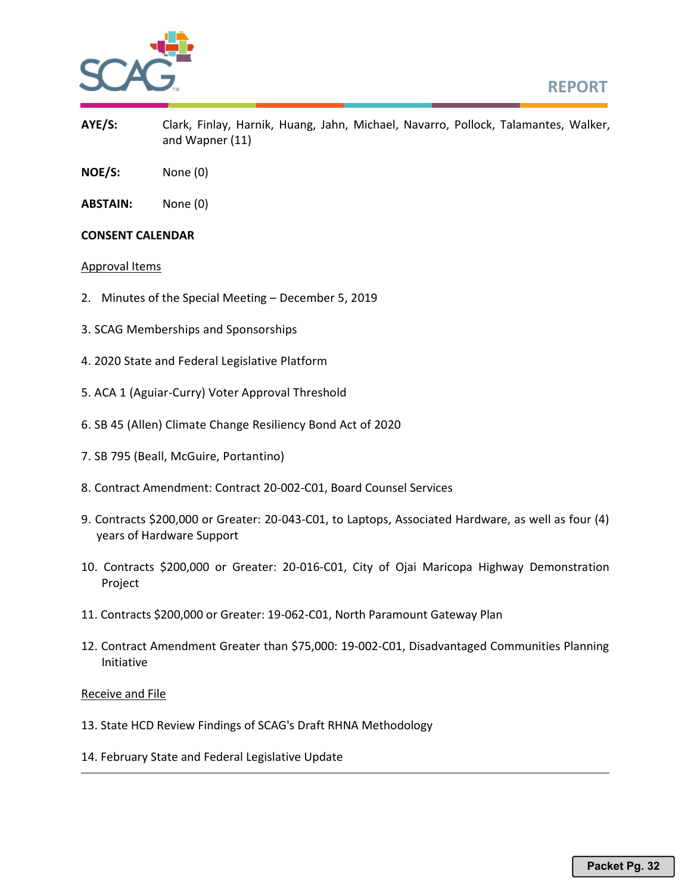



- **AYE/S:** Clark, Finlay, Harnik, Huang, Jahn, Michael, Navarro, Pollock, Talamantes, Walker, and Wapner (11)
- **NOE/S:** None (0)
- **ABSTAIN:** None (0)

# **CONSENT CALENDAR**

## Approval Items

- 2. Minutes of the Special Meeting December 5, 2019
- 3. SCAG Memberships and Sponsorships
- 4. 2020 State and Federal Legislative Platform
- 5. ACA 1 (Aguiar-Curry) Voter Approval Threshold
- 6. SB 45 (Allen) Climate Change Resiliency Bond Act of 2020
- 7. SB 795 (Beall, McGuire, Portantino)
- 8. Contract Amendment: Contract 20-002-C01, Board Counsel Services
- 9. Contracts \$200,000 or Greater: 20-043-C01, to Laptops, Associated Hardware, as well as four (4) years of Hardware Support
- 10. Contracts \$200,000 or Greater: 20-016-C01, City of Ojai Maricopa Highway Demonstration Project
- 11. Contracts \$200,000 or Greater: 19-062-C01, North Paramount Gateway Plan
- 12. Contract Amendment Greater than \$75,000: 19-002-C01, Disadvantaged Communities Planning Initiative

## Receive and File

- 13. State HCD Review Findings of SCAG's Draft RHNA Methodology
- 14. February State and Federal Legislative Update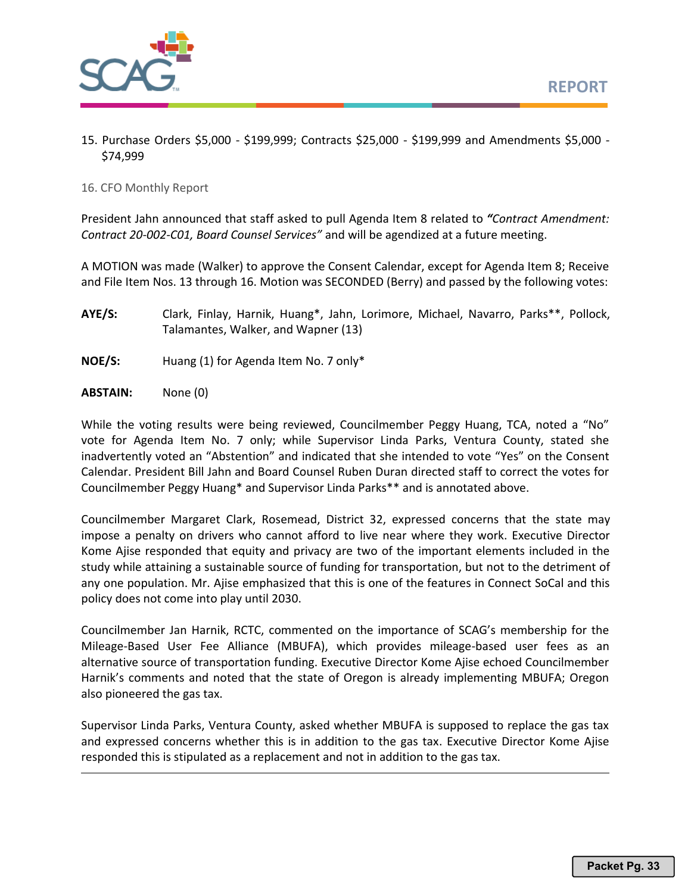

15. Purchase Orders \$5,000 - \$199,999; Contracts \$25,000 - \$199,999 and Amendments \$5,000 - \$74,999

16. CFO Monthly Report

President Jahn announced that staff asked to pull Agenda Item 8 related to *"Contract Amendment: Contract 20-002-C01, Board Counsel Services"* and will be agendized at a future meeting.

A MOTION was made (Walker) to approve the Consent Calendar, except for Agenda Item 8; Receive and File Item Nos. 13 through 16. Motion was SECONDED (Berry) and passed by the following votes:

- **AYE/S:** Clark, Finlay, Harnik, Huang\*, Jahn, Lorimore, Michael, Navarro, Parks\*\*, Pollock, Talamantes, Walker, and Wapner (13)
- **NOE/S:** Huang (1) for Agenda Item No. 7 only\*
- **ABSTAIN:** None (0)

While the voting results were being reviewed, Councilmember Peggy Huang, TCA, noted a "No" vote for Agenda Item No. 7 only; while Supervisor Linda Parks, Ventura County, stated she inadvertently voted an "Abstention" and indicated that she intended to vote "Yes" on the Consent Calendar. President Bill Jahn and Board Counsel Ruben Duran directed staff to correct the votes for Councilmember Peggy Huang\* and Supervisor Linda Parks\*\* and is annotated above.

Councilmember Margaret Clark, Rosemead, District 32, expressed concerns that the state may impose a penalty on drivers who cannot afford to live near where they work. Executive Director Kome Ajise responded that equity and privacy are two of the important elements included in the study while attaining a sustainable source of funding for transportation, but not to the detriment of any one population. Mr. Ajise emphasized that this is one of the features in Connect SoCal and this policy does not come into play until 2030.

Councilmember Jan Harnik, RCTC, commented on the importance of SCAG's membership for the Mileage-Based User Fee Alliance (MBUFA), which provides mileage-based user fees as an alternative source of transportation funding. Executive Director Kome Ajise echoed Councilmember Harnik's comments and noted that the state of Oregon is already implementing MBUFA; Oregon also pioneered the gas tax.

Supervisor Linda Parks, Ventura County, asked whether MBUFA is supposed to replace the gas tax and expressed concerns whether this is in addition to the gas tax. Executive Director Kome Ajise responded this is stipulated as a replacement and not in addition to the gas tax.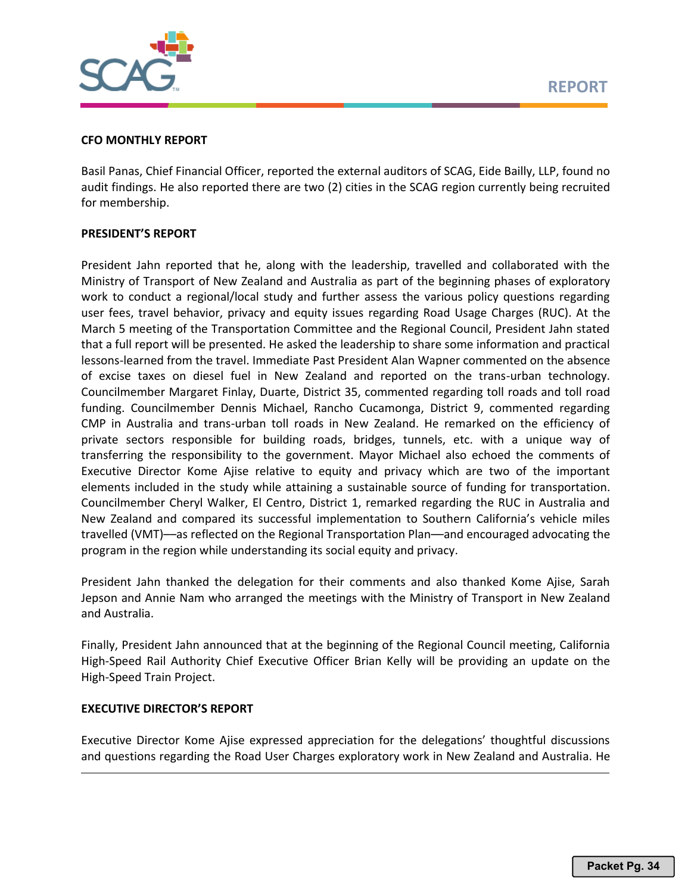

# **CFO MONTHLY REPORT**

Basil Panas, Chief Financial Officer, reported the external auditors of SCAG, Eide Bailly, LLP, found no audit findings. He also reported there are two (2) cities in the SCAG region currently being recruited for membership.

# **PRESIDENT'S REPORT**

President Jahn reported that he, along with the leadership, travelled and collaborated with the Ministry of Transport of New Zealand and Australia as part of the beginning phases of exploratory work to conduct a regional/local study and further assess the various policy questions regarding user fees, travel behavior, privacy and equity issues regarding Road Usage Charges (RUC). At the March 5 meeting of the Transportation Committee and the Regional Council, President Jahn stated that a full report will be presented. He asked the leadership to share some information and practical lessons-learned from the travel. Immediate Past President Alan Wapner commented on the absence of excise taxes on diesel fuel in New Zealand and reported on the trans-urban technology. Councilmember Margaret Finlay, Duarte, District 35, commented regarding toll roads and toll road funding. Councilmember Dennis Michael, Rancho Cucamonga, District 9, commented regarding CMP in Australia and trans-urban toll roads in New Zealand. He remarked on the efficiency of private sectors responsible for building roads, bridges, tunnels, etc. with a unique way of transferring the responsibility to the government. Mayor Michael also echoed the comments of Executive Director Kome Ajise relative to equity and privacy which are two of the important elements included in the study while attaining a sustainable source of funding for transportation. Councilmember Cheryl Walker, El Centro, District 1, remarked regarding the RUC in Australia and New Zealand and compared its successful implementation to Southern California's vehicle miles travelled (VMT)––as reflected on the Regional Transportation Plan––and encouraged advocating the program in the region while understanding its social equity and privacy.

President Jahn thanked the delegation for their comments and also thanked Kome Ajise, Sarah Jepson and Annie Nam who arranged the meetings with the Ministry of Transport in New Zealand and Australia.

Finally, President Jahn announced that at the beginning of the Regional Council meeting, California High-Speed Rail Authority Chief Executive Officer Brian Kelly will be providing an update on the High-Speed Train Project.

## **EXECUTIVE DIRECTOR'S REPORT**

Executive Director Kome Ajise expressed appreciation for the delegations' thoughtful discussions and questions regarding the Road User Charges exploratory work in New Zealand and Australia. He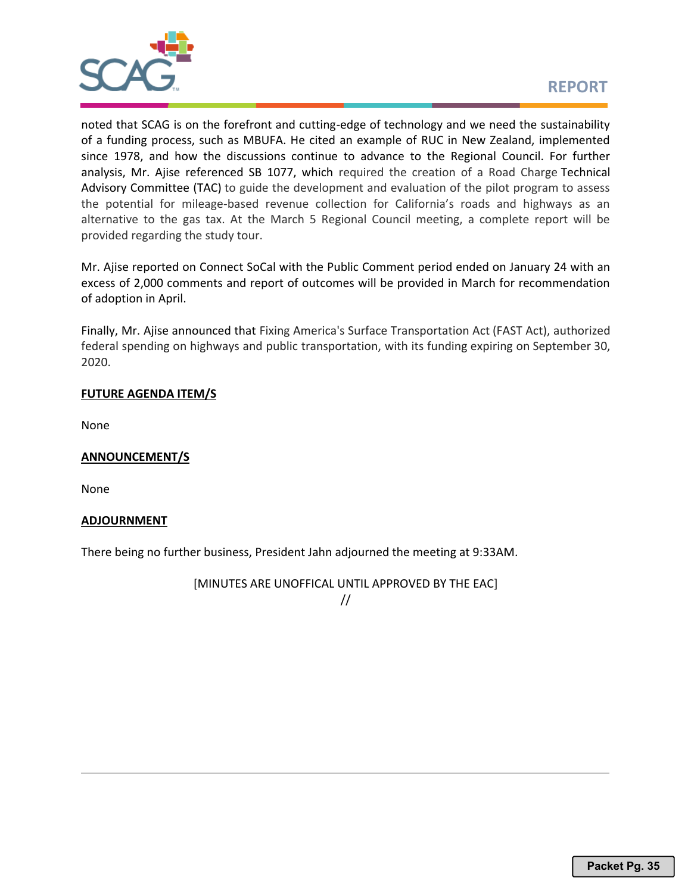

noted that SCAG is on the forefront and cutting-edge of technology and we need the sustainability of a funding process, such as MBUFA. He cited an example of RUC in New Zealand, implemented since 1978, and how the discussions continue to advance to the Regional Council. For further analysis, Mr. Ajise referenced SB 1077, which required the creation of a Road Charge Technical Advisory Committee (TAC) to guide the development and evaluation of the pilot program to assess the potential for mileage-based revenue collection for California's roads and highways as an alternative to the gas tax. At the March 5 Regional Council meeting, a complete report will be provided regarding the study tour.

Mr. Ajise reported on Connect SoCal with the Public Comment period ended on January 24 with an excess of 2,000 comments and report of outcomes will be provided in March for recommendation of adoption in April.

Finally, Mr. Ajise announced that Fixing America's Surface Transportation Act (FAST Act), authorized federal spending on highways and public transportation, with its funding expiring on September 30, 2020.

# **FUTURE AGENDA ITEM/S**

None

# **ANNOUNCEMENT/S**

None

# **ADJOURNMENT**

There being no further business, President Jahn adjourned the meeting at 9:33AM.

[MINUTES ARE UNOFFICAL UNTIL APPROVED BY THE EAC]

//